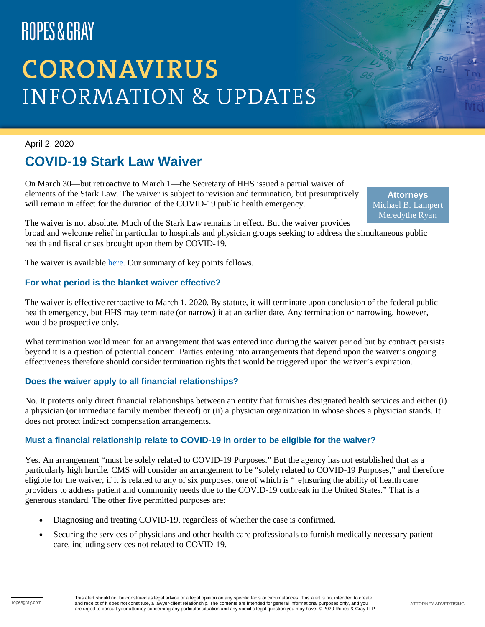# **CORONAVIRUS INFORMATION & UPDATES**

April 2, 2020

### **COVID-19 Stark Law Waiver**

On March 30—but retroactive to March 1—the Secretary of HHS issued a partial waiver of elements of the Stark Law. The waiver is subject to revision and termination, but presumptively will remain in effect for the duration of the COVID-19 public health emergency.

**Attorneys** [Michael B. Lampert](https://www.ropesgray.com/en/biographies/l/michael-b-lampert) [Meredythe Ryan](https://www.ropesgray.com/en/biographies/r/meredythe-ryan)

The waiver is not absolute. Much of the Stark Law remains in effect. But the waiver provides broad and welcome relief in particular to hospitals and physician groups seeking to address the simultaneous public health and fiscal crises brought upon them by COVID-19.

The waiver is available [here.](https://www.cms.gov/files/document/covid-19-blanket-waivers-section-1877g.pdf) Our summary of key points follows.

### **For what period is the blanket waiver effective?**

The waiver is effective retroactive to March 1, 2020. By statute, it will terminate upon conclusion of the federal public health emergency, but HHS may terminate (or narrow) it at an earlier date. Any termination or narrowing, however, would be prospective only.

What termination would mean for an arrangement that was entered into during the waiver period but by contract persists beyond it is a question of potential concern. Parties entering into arrangements that depend upon the waiver's ongoing effectiveness therefore should consider termination rights that would be triggered upon the waiver's expiration.

### **Does the waiver apply to all financial relationships?**

No. It protects only direct financial relationships between an entity that furnishes designated health services and either (i) a physician (or immediate family member thereof) or (ii) a physician organization in whose shoes a physician stands. It does not protect indirect compensation arrangements.

### **Must a financial relationship relate to COVID-19 in order to be eligible for the waiver?**

Yes. An arrangement "must be solely related to COVID-19 Purposes." But the agency has not established that as a particularly high hurdle. CMS will consider an arrangement to be "solely related to COVID-19 Purposes," and therefore eligible for the waiver, if it is related to any of six purposes, one of which is "[e]nsuring the ability of health care providers to address patient and community needs due to the COVID-19 outbreak in the United States." That is a generous standard. The other five permitted purposes are:

- Diagnosing and treating COVID-19, regardless of whether the case is confirmed.
- Securing the services of physicians and other health care professionals to furnish medically necessary patient care, including services not related to COVID-19.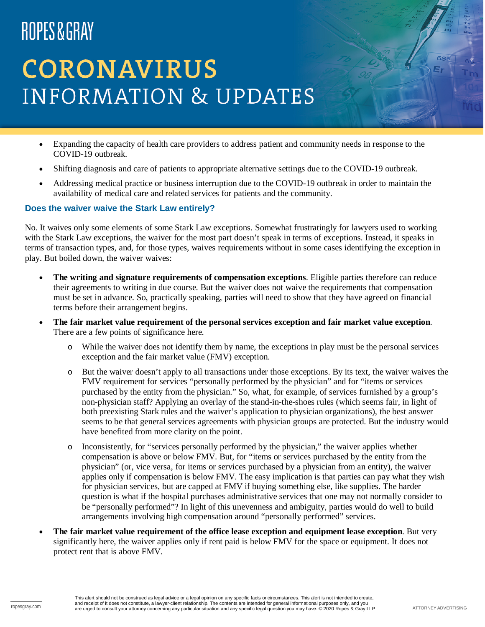# **CORONAVIRUS INFORMATION & UPDATES**

- Expanding the capacity of health care providers to address patient and community needs in response to the COVID-19 outbreak.
- Shifting diagnosis and care of patients to appropriate alternative settings due to the COVID-19 outbreak.
- Addressing medical practice or business interruption due to the COVID-19 outbreak in order to maintain the availability of medical care and related services for patients and the community.

#### **Does the waiver waive the Stark Law entirely?**

No. It waives only some elements of some Stark Law exceptions. Somewhat frustratingly for lawyers used to working with the Stark Law exceptions, the waiver for the most part doesn't speak in terms of exceptions. Instead, it speaks in terms of transaction types, and, for those types, waives requirements without in some cases identifying the exception in play. But boiled down, the waiver waives:

- **The writing and signature requirements of compensation exceptions**. Eligible parties therefore can reduce their agreements to writing in due course. But the waiver does not waive the requirements that compensation must be set in advance. So, practically speaking, parties will need to show that they have agreed on financial terms before their arrangement begins.
- **The fair market value requirement of the personal services exception and fair market value exception**. There are a few points of significance here.
	- o While the waiver does not identify them by name, the exceptions in play must be the personal services exception and the fair market value (FMV) exception.
	- o But the waiver doesn't apply to all transactions under those exceptions. By its text, the waiver waives the FMV requirement for services "personally performed by the physician" and for "items or services purchased by the entity from the physician." So, what, for example, of services furnished by a group's non-physician staff? Applying an overlay of the stand-in-the-shoes rules (which seems fair, in light of both preexisting Stark rules and the waiver's application to physician organizations), the best answer seems to be that general services agreements with physician groups are protected. But the industry would have benefited from more clarity on the point.
	- o Inconsistently, for "services personally performed by the physician," the waiver applies whether compensation is above or below FMV. But, for "items or services purchased by the entity from the physician" (or, vice versa, for items or services purchased by a physician from an entity), the waiver applies only if compensation is below FMV. The easy implication is that parties can pay what they wish for physician services, but are capped at FMV if buying something else, like supplies. The harder question is what if the hospital purchases administrative services that one may not normally consider to be "personally performed"? In light of this unevenness and ambiguity, parties would do well to build arrangements involving high compensation around "personally performed" services.
- **The fair market value requirement of the office lease exception and equipment lease exception**. But very significantly here, the waiver applies only if rent paid is below FMV for the space or equipment. It does not protect rent that is above FMV.

and receipt of it does not constitute, a lawyer-client relationship. The contents are intended for general informational purposes only, and you<br>are urged to consult your attorney concerning any particular situation and any This alert should not be construed as legal advice or a legal opinion on any specific facts or circumstances. This alert is not intended to create,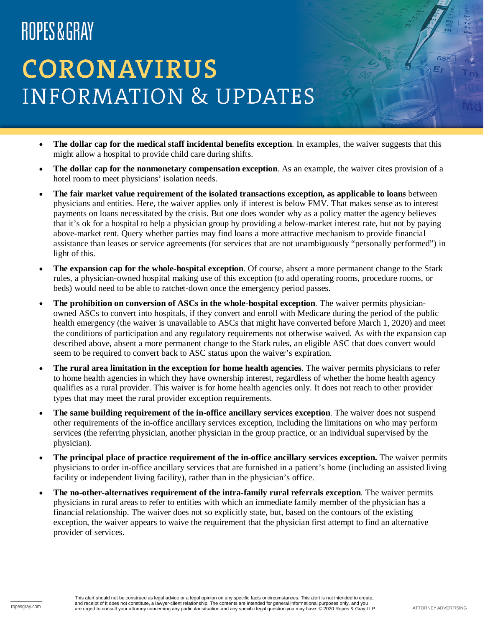# **CORONAVIRUS INFORMATION & UPDATES**

- The dollar cap for the medical staff incidental benefits exception. In examples, the waiver suggests that this might allow a hospital to provide child care during shifts.
- **The dollar cap for the nonmonetary compensation exception**. As an example, the waiver cites provision of a hotel room to meet physicians' isolation needs.
- **The fair market value requirement of the isolated transactions exception, as applicable to loans** between physicians and entities. Here, the waiver applies only if interest is below FMV. That makes sense as to interest payments on loans necessitated by the crisis. But one does wonder why as a policy matter the agency believes that it's ok for a hospital to help a physician group by providing a below-market interest rate, but not by paying above-market rent. Query whether parties may find loans a more attractive mechanism to provide financial assistance than leases or service agreements (for services that are not unambiguously "personally performed") in light of this.
- **The expansion cap for the whole-hospital exception**. Of course, absent a more permanent change to the Stark rules, a physician-owned hospital making use of this exception (to add operating rooms, procedure rooms, or beds) would need to be able to ratchet-down once the emergency period passes.
- **The prohibition on conversion of ASCs in the whole-hospital exception**. The waiver permits physicianowned ASCs to convert into hospitals, if they convert and enroll with Medicare during the period of the public health emergency (the waiver is unavailable to ASCs that might have converted before March 1, 2020) and meet the conditions of participation and any regulatory requirements not otherwise waived. As with the expansion cap described above, absent a more permanent change to the Stark rules, an eligible ASC that does convert would seem to be required to convert back to ASC status upon the waiver's expiration.
- **The rural area limitation in the exception for home health agencies**. The waiver permits physicians to refer to home health agencies in which they have ownership interest, regardless of whether the home health agency qualifies as a rural provider. This waiver is for home health agencies only. It does not reach to other provider types that may meet the rural provider exception requirements.
- **The same building requirement of the in-office ancillary services exception**. The waiver does not suspend other requirements of the in-office ancillary services exception, including the limitations on who may perform services (the referring physician, another physician in the group practice, or an individual supervised by the physician).
- **The principal place of practice requirement of the in-office ancillary services exception.** The waiver permits physicians to order in-office ancillary services that are furnished in a patient's home (including an assisted living facility or independent living facility), rather than in the physician's office.
- **The no-other-alternatives requirement of the intra-family rural referrals exception**. The waiver permits physicians in rural areas to refer to entities with which an immediate family member of the physician has a financial relationship. The waiver does not so explicitly state, but, based on the contours of the existing exception, the waiver appears to waive the requirement that the physician first attempt to find an alternative provider of services.